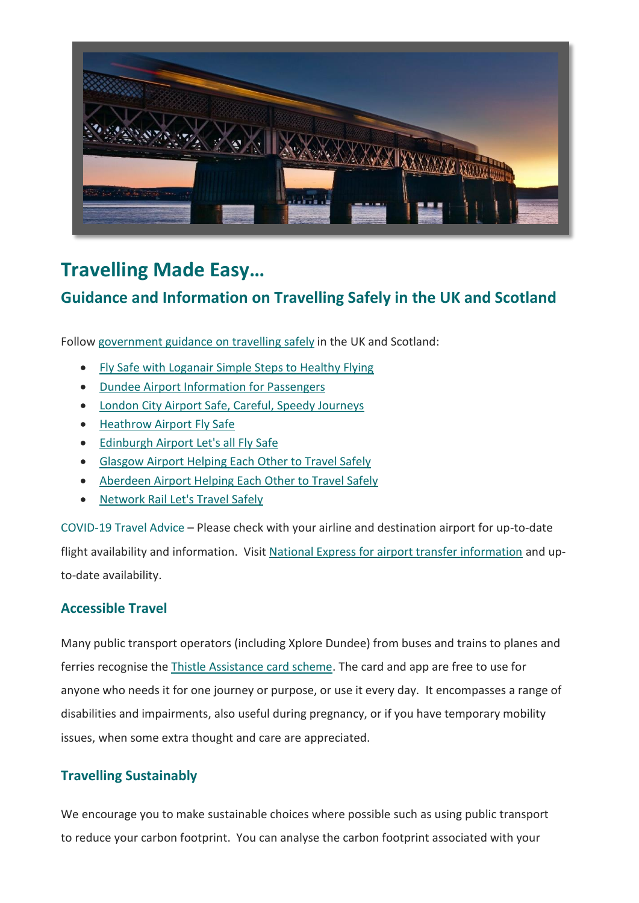

# **Travelling Made Easy…**

## **Guidance and Information on Travelling Safely in the UK and Scotland**

Follo[w government guidance on travelling](https://www.gov.uk/guidance/coronavirus-covid-19-safer-air-travel-guidance-for-passengers) safely in the UK and Scotland:

- [Fly Safe with Loganair Simple Steps to Healthy Flying](https://www.loganair.co.uk/travel-help/fly-safe/?utm_source=Convention%20Dundee%20%26%20Angus&utm_medium=referral&utm_campaign=Flysafe%20)
- [Dundee Airport Information for Passengers](https://www.hial.co.uk/hial-group/passenger-information-coronavirus/1)
- [London City Airport Safe, Careful, Speedy Journeys](https://www.londoncityairport.com/safe-careful-speedy-journeys)
- [Heathrow Airport Fly Safe](https://www.heathrow.com/at-the-airport/fly-safe)
- [Edinburgh Airport Let's all Fly Safe](https://www.edinburghairport.com/flysafe)
- [Glasgow Airport Helping Each Other to Travel Safely](https://www.glasgowairport.com/covid19/)
- [Aberdeen Airport Helping Each Other to Travel Safely](https://www.aberdeenairport.com/coronavirus/)
- [Network Rail Let's Travel Safely](https://www.networkrail.co.uk/coronavirus/)

COVID-19 Travel Advice – Please check with your airline and destination airport for up-to-date flight availability and information. Visi[t National Express for airport transfer information](https://www.nationalexpress.com/en/airports) and upto-date availability.

### **Accessible Travel**

Many public transport operators (including Xplore Dundee) from buses and trains to planes and ferries recognise the [Thistle Assistance card scheme.](https://www.thistleassistance.com/) The card and app are free to use for anyone who needs it for one journey or purpose, or use it every day. It encompasses a range of disabilities and impairments, also useful during pregnancy, or if you have temporary mobility issues, when some extra thought and care are appreciated.

## **Travelling Sustainably**

We encourage you to make sustainable choices where possible such as using public transport to reduce your carbon footprint. You can analyse the carbon footprint associated with your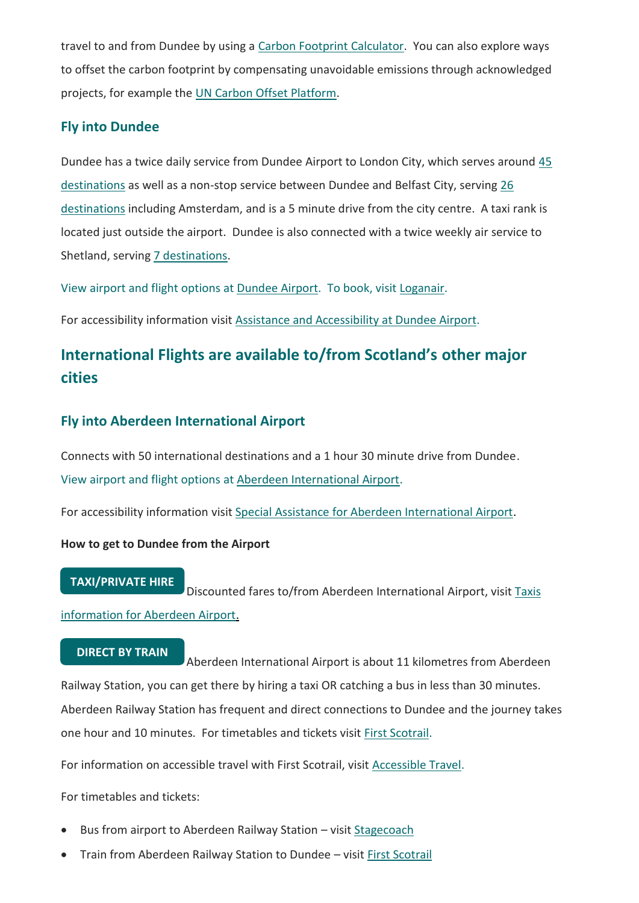travel to and from Dundee by using a [Carbon Footprint Calculator.](https://calculator.carbonfootprint.com/calculator.aspx?tab=3) You can also explore ways to offset the carbon footprint by compensating unavoidable emissions through acknowledged projects, for example the [UN Carbon Offset Platform.](https://offset.climateneutralnow.org/aboutoffsetting)

## **Fly into Dundee**

Dundee has a twice daily service from Dundee Airport to London City, which serves around [45](https://www.londoncityairport.com/destinations)  [destinations](https://www.londoncityairport.com/destinations) as well as a non-stop service between Dundee and Belfast City, serving [26](https://www.belfastcityairport.com/ListingPage/All-Destinations)  [destinations](https://www.belfastcityairport.com/ListingPage/All-Destinations) including Amsterdam, and is a 5 minute drive from the city centre. A taxi rank is located just outside the airport. Dundee is also connected with a twice weekly air service to Shetland, serving [7 destinations.](https://www.hial.co.uk/sumburgh-airport/destinations-10/1)

View airport and flight options a[t Dundee Airport.](http://www.hial.co.uk/dundee-airport/) To book, visit [Loganair.](https://www.loganair.co.uk/)

For accessibility information visit [Assistance and Accessibility](https://www.hial.co.uk/dundee-airport/airport-information-7/6?documentId=52&categoryId=20007) at Dundee Airport.

## **International Flights are available to/from Scotland's other major cities**

### **Fly into Aberdeen International Airport**

Connects with 50 international destinations and a 1 hour 30 minute drive from Dundee. View airport and flight options a[t Aberdeen International Airport.](https://www.aberdeenairport.com/)

For accessibility information visit [Special Assistance for Aberdeen International Airport.](https://www.aberdeenairport.com/aberdeen-airport-guide/special-assistance/)

#### **How to get to Dundee from the Airport**

#### **TAXI/PRIVATE HIRE**

Discounted fares to/from Aberdeen International Airport, visit Taxis [information for Aberdeen Airport.](https://www.aberdeenairport.com/transport-and-directions/taxis/)

#### **DIRECT BY TRAIN**

Aberdeen International Airport is about 11 kilometres from Aberdeen Railway Station, you can get there by hiring a taxi OR catching a bus in less than 30 minutes. Aberdeen Railway Station has frequent and direct connections to Dundee and the journey takes one hour and 10 minutes. For timetables and tickets visit [First Scotrail.](https://www.scotrail.co.uk/)

For information on accessible travel with First Scotrail, visit [Accessible](https://www.scotrail.co.uk/plan-your-journey/accessible-travel) Travel.

For timetables and tickets:

- Bus from airport to Aberdeen Railway Station visit [Stagecoach](http://www.stagecoachbus.com/)
- Train from Aberdeen Railway Station to Dundee visit [First Scotrail](https://firstscotrail.co.uk/)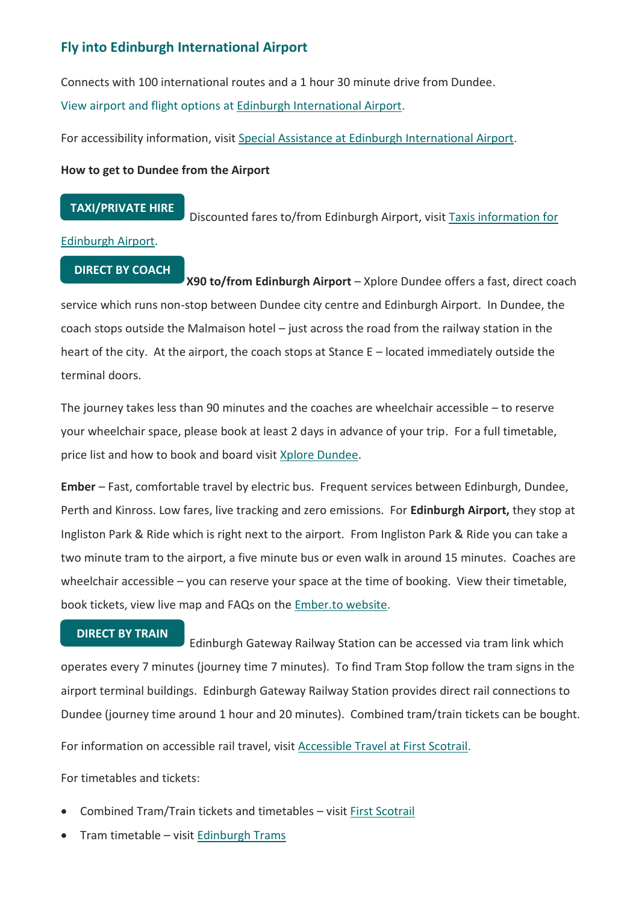## **Fly into Edinburgh International Airport**

Connects with 100 international routes and a 1 hour 30 minute drive from Dundee. View airport and flight options a[t Edinburgh International Airport.](http://www.edinburghairport.com/)

For accessibility information, visit [Special Assistance at Edinburgh International Airport.](https://www.edinburghairport.com/prepare/special-assistance)

#### **How to get to Dundee from the Airport**

#### **TAXI/PRIVATE HIRE**

Discounted fares to/from Edinburgh Airport, visit [Taxis information for](https://www.edinburghairport.com/transport-links/taxis) 

#### [Edinburgh Airport.](https://www.edinburghairport.com/transport-links/taxis)

#### **DIRECT BY COACH**

**X90 to/from Edinburgh Airport** – Xplore Dundee offers a fast, direct coach service which runs non-stop between Dundee city centre and Edinburgh Airport. In Dundee, the coach stops outside the Malmaison hotel – just across the road from the railway station in the heart of the city. At the airport, the coach stops at Stance E – located immediately outside the terminal doors.

The journey takes less than 90 minutes and the coaches are wheelchair accessible – to reserve your wheelchair space, please book at least 2 days in advance of your trip. For a full timetable, price list and how to book and board visit [Xplore Dundee.](https://www.xploredundee.com/X90)

**Ember** – Fast, comfortable travel by electric bus. Frequent services between Edinburgh, Dundee, Perth and Kinross. Low fares, live tracking and zero emissions. For **Edinburgh Airport,** they stop at Ingliston Park & Ride which is right next to the airport. From Ingliston Park & Ride you can take a two minute tram to the airport, a five minute bus or even walk in around 15 minutes. Coaches are wheelchair accessible – you can reserve your space at the time of booking. View their timetable, book tickets, view live map and FAQs on the [Ember.to website.](https://www.ember.to/)

#### **DIRECT BY TRAIN**

Edinburgh Gateway Railway Station can be accessed via tram link which operates every 7 minutes (journey time 7 minutes). To find Tram Stop follow the tram signs in the airport terminal buildings. Edinburgh Gateway Railway Station provides direct rail connections to Dundee (journey time around 1 hour and 20 minutes). Combined tram/train tickets can be bought.

For information on accessible rail travel, visi[t Accessible Travel at First Scotrail.](Direct%20Expenditure%20Benefit%20Report.docx)

For timetables and tickets:

- Combined Tram/Train tickets and timetables visit [First Scotrail](https://www.scotrail.co.uk/)
- Tram timetable visi[t Edinburgh Trams](http://edinburghtrams.com/)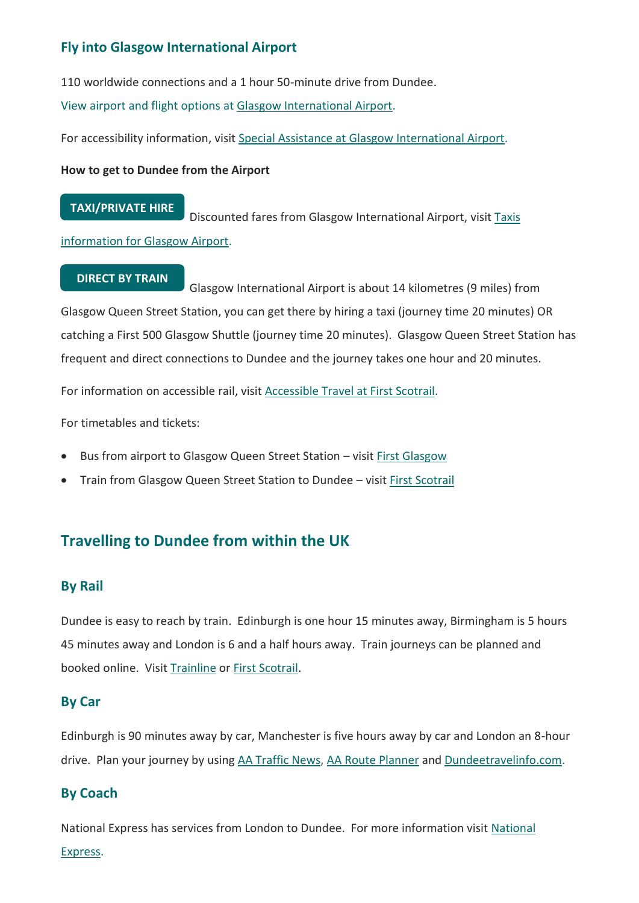## **Fly into Glasgow International Airport**

110 worldwide connections and a 1 hour 50-minute drive from Dundee.

View airport and flight options a[t Glasgow International Airport.](http://www.glasgowairport.com/)

For accessibility information, visit [Special Assistance at Glasgow International Airport.](https://www.glasgowairport.com/special-assistance/)

#### **How to get to Dundee from the Airport**

#### **TAXI/PRIVATE HIRE**

Discounted fares from Glasgow International Airport, visi[t Taxis](https://www.glasgowairport.com/to-and-from/taxi/)  [information for Glasgow Airport.](https://www.glasgowairport.com/to-and-from/taxi/)

#### **DIRECT BY TRAIN**

Glasgow International Airport is about 14 kilometres (9 miles) from Glasgow Queen Street Station, you can get there by hiring a taxi (journey time 20 minutes) OR catching a First 500 Glasgow Shuttle (journey time 20 minutes). Glasgow Queen Street Station has frequent and direct connections to Dundee and the journey takes one hour and 20 minutes.

For information on accessible rail, visi[t Accessible Travel at First Scotrail.](https://www.scotrail.co.uk/plan-your-journey/accessible-travel)

For timetables and tickets:

- Bus from airport to Glasgow Queen Street Station visit [First Glasgow](http://www.firstglasgow.com/)
- Train from Glasgow Queen Street Station to Dundee visit [First Scotrail](https://www.scotrail.co.uk/)

## **Travelling to Dundee from within the UK**

## **By Rail**

Dundee is easy to reach by train. Edinburgh is one hour 15 minutes away, Birmingham is 5 hours 45 minutes away and London is 6 and a half hours away. Train journeys can be planned and booked online. Visi[t Trainline](https://www.thetrainline.com/) or [First Scotrail.](https://www.scotrail.co.uk/)

### **By Car**

Edinburgh is 90 minutes away by car, Manchester is five hours away by car and London an 8-hour drive. Plan your journey by using [AA Traffic News,](http://www.theaa.com/traffic-news/index.jsp) [AA Route Planner](http://www.theaa.com/route-planner/index.jsp) and [Dundeetravelinfo.com.](http://www.dundeetravelinfo.com/)

## **By Coach**

National Express has services from London to Dundee. For more information visit [National](http://www.nationalexpress.com/home.aspx)  [Express.](http://www.nationalexpress.com/home.aspx)